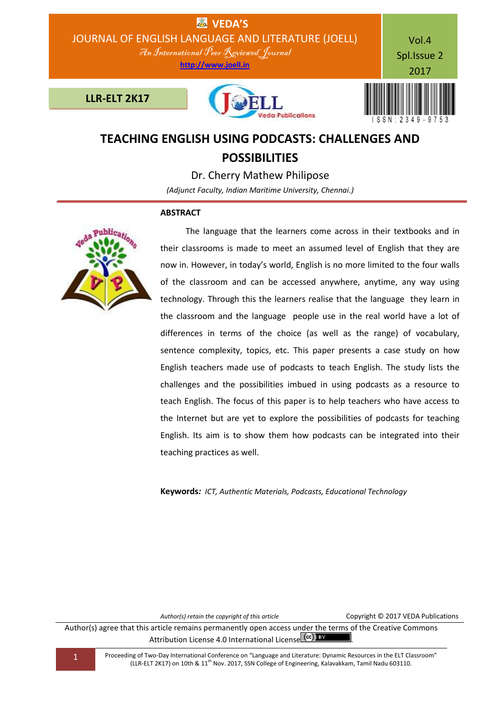

# **TEACHING ENGLISH USING PODCASTS: CHALLENGES AND POSSIBILITIES**

Dr. Cherry Mathew Philipose

*(Adjunct Faculty, Indian Maritime University, Chennai.)*

# **ABSTRACT**



 The language that the learners come across in their textbooks and in their classrooms is made to meet an assumed level of English that they are now in. However, in today's world, English is no more limited to the four walls of the classroom and can be accessed anywhere, anytime, any way using technology. Through this the learners realise that the language they learn in the classroom and the language people use in the real world have a lot of differences in terms of the choice (as well as the range) of vocabulary, sentence complexity, topics, etc. This paper presents a case study on how English teachers made use of podcasts to teach English. The study lists the challenges and the possibilities imbued in using podcasts as a resource to teach English. The focus of this paper is to help teachers who have access to the Internet but are yet to explore the possibilities of podcasts for teaching English. Its aim is to show them how podcasts can be integrated into their teaching practices as well.

**Keywords***: ICT, Authentic Materials, Podcasts, Educational Technology*

*Author(s) retain the copyright of this article* Copyright © 2017 VEDA Publications

Author(s) agree that this article remains permanently open access under the terms of the Creative Commons Attribution License 4.0 International License (cc) BY

1 Proceeding of Two-Day International Conference on "Language and Literature: Dynamic Resources in the ELT Classroom" (LLR-ELT 2K17) on 10th & 11th Nov. 2017, SSN College of Engineering, Kalavakkam, Tamil Nadu 603110.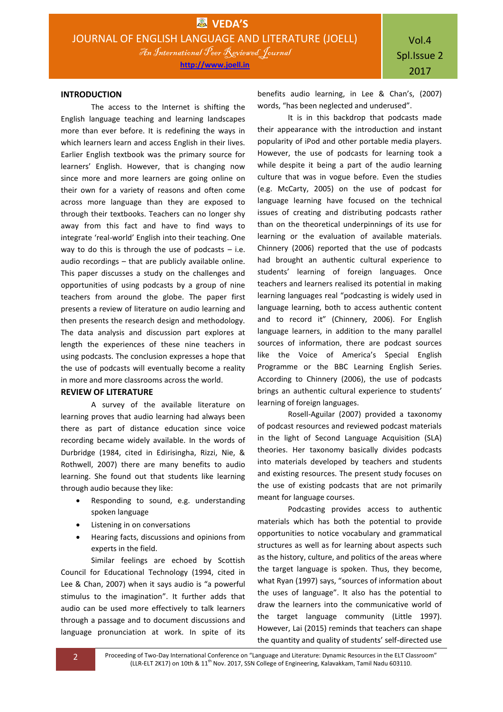#### **INTRODUCTION**

The access to the Internet is shifting the English language teaching and learning landscapes more than ever before. It is redefining the ways in which learners learn and access English in their lives. Earlier English textbook was the primary source for learners' English. However, that is changing now since more and more learners are going online on their own for a variety of reasons and often come across more language than they are exposed to through their textbooks. Teachers can no longer shy away from this fact and have to find ways to integrate 'real-world' English into their teaching. One way to do this is through the use of podcasts  $-$  i.e. audio recordings – that are publicly available online. This paper discusses a study on the challenges and opportunities of using podcasts by a group of nine teachers from around the globe. The paper first presents a review of literature on audio learning and then presents the research design and methodology. The data analysis and discussion part explores at length the experiences of these nine teachers in using podcasts. The conclusion expresses a hope that the use of podcasts will eventually become a reality in more and more classrooms across the world.

## **REVIEW OF LITERATURE**

A survey of the available literature on learning proves that audio learning had always been there as part of distance education since voice recording became widely available. In the words of Durbridge (1984, cited in Edirisingha, Rizzi, Nie, & Rothwell, 2007) there are many benefits to audio learning. She found out that students like learning through audio because they like:

- Responding to sound, e.g. understanding spoken language
- Listening in on conversations
- Hearing facts, discussions and opinions from experts in the field.

Similar feelings are echoed by Scottish Council for Educational Technology (1994, cited in Lee & Chan, 2007) when it says audio is "a powerful stimulus to the imagination". It further adds that audio can be used more effectively to talk learners through a passage and to document discussions and language pronunciation at work. In spite of its

benefits audio learning, in Lee & Chan's, (2007) words, "has been neglected and underused".

It is in this backdrop that podcasts made their appearance with the introduction and instant popularity of iPod and other portable media players. However, the use of podcasts for learning took a while despite it being a part of the audio learning culture that was in vogue before. Even the studies (e.g. McCarty, 2005) on the use of podcast for language learning have focused on the technical issues of creating and distributing podcasts rather than on the theoretical underpinnings of its use for learning or the evaluation of available materials. Chinnery (2006) reported that the use of podcasts had brought an authentic cultural experience to students' learning of foreign languages. Once teachers and learners realised its potential in making learning languages real "podcasting is widely used in language learning, both to access authentic content and to record it" (Chinnery, 2006). For English language learners, in addition to the many parallel sources of information, there are podcast sources like the Voice of America's Special English Programme or the BBC Learning English Series. According to Chinnery (2006), the use of podcasts brings an authentic cultural experience to students' learning of foreign languages.

Rosell-Aguilar (2007) provided a taxonomy of podcast resources and reviewed podcast materials in the light of Second Language Acquisition (SLA) theories. Her taxonomy basically divides podcasts into materials developed by teachers and students and existing resources. The present study focuses on the use of existing podcasts that are not primarily meant for language courses.

Podcasting provides access to authentic materials which has both the potential to provide opportunities to notice vocabulary and grammatical structures as well as for learning about aspects such as the history, culture, and politics of the areas where the target language is spoken. Thus, they become, what Ryan (1997) says, "sources of information about the uses of language". It also has the potential to draw the learners into the communicative world of the target language community (Little 1997). However, Lai (2015) reminds that teachers can shape the quantity and quality of students' self-directed use

2 Proceeding of Two-Day International Conference on "Language and Literature: Dynamic Resources in the ELT Classroom" (LLR-ELT 2K17) on 10th & 11<sup>th</sup> Nov. 2017, SSN College of Engineering, Kalavakkam, Tamil Nadu 603110.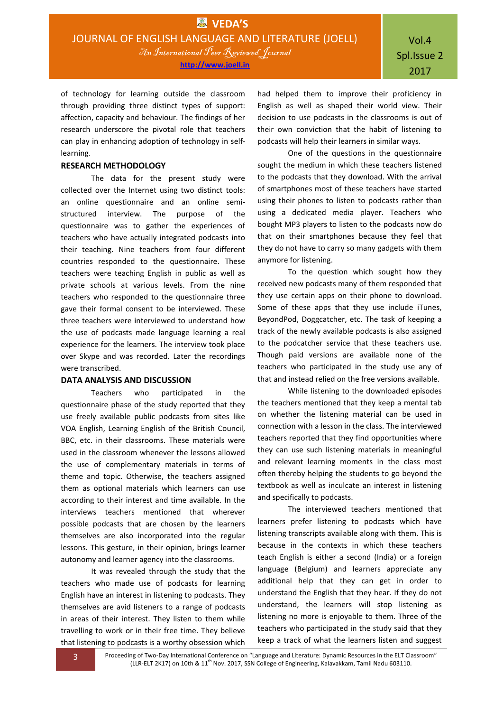of technology for learning outside the classroom through providing three distinct types of support: affection, capacity and behaviour. The findings of her research underscore the pivotal role that teachers can play in enhancing adoption of technology in selflearning.

#### **RESEARCH METHODOLOGY**

The data for the present study were collected over the Internet using two distinct tools: an online questionnaire and an online semistructured interview. The purpose of the questionnaire was to gather the experiences of teachers who have actually integrated podcasts into their teaching. Nine teachers from four different countries responded to the questionnaire. These teachers were teaching English in public as well as private schools at various levels. From the nine teachers who responded to the questionnaire three gave their formal consent to be interviewed. These three teachers were interviewed to understand how the use of podcasts made language learning a real experience for the learners. The interview took place over Skype and was recorded. Later the recordings were transcribed.

#### **DATA ANALYSIS AND DISCUSSION**

Teachers who participated in the questionnaire phase of the study reported that they use freely available public podcasts from sites like VOA English, Learning English of the British Council, BBC, etc. in their classrooms. These materials were used in the classroom whenever the lessons allowed the use of complementary materials in terms of theme and topic. Otherwise, the teachers assigned them as optional materials which learners can use according to their interest and time available. In the interviews teachers mentioned that wherever possible podcasts that are chosen by the learners themselves are also incorporated into the regular lessons. This gesture, in their opinion, brings learner autonomy and learner agency into the classrooms.

It was revealed through the study that the teachers who made use of podcasts for learning English have an interest in listening to podcasts. They themselves are avid listeners to a range of podcasts in areas of their interest. They listen to them while travelling to work or in their free time. They believe that listening to podcasts is a worthy obsession which

had helped them to improve their proficiency in English as well as shaped their world view. Their decision to use podcasts in the classrooms is out of their own conviction that the habit of listening to podcasts will help their learners in similar ways.

One of the questions in the questionnaire sought the medium in which these teachers listened to the podcasts that they download. With the arrival of smartphones most of these teachers have started using their phones to listen to podcasts rather than using a dedicated media player. Teachers who bought MP3 players to listen to the podcasts now do that on their smartphones because they feel that they do not have to carry so many gadgets with them anymore for listening.

To the question which sought how they received new podcasts many of them responded that they use certain apps on their phone to download. Some of these apps that they use include iTunes, BeyondPod, Doggcatcher, etc. The task of keeping a track of the newly available podcasts is also assigned to the podcatcher service that these teachers use. Though paid versions are available none of the teachers who participated in the study use any of that and instead relied on the free versions available.

While listening to the downloaded episodes the teachers mentioned that they keep a mental tab on whether the listening material can be used in connection with a lesson in the class. The interviewed teachers reported that they find opportunities where they can use such listening materials in meaningful and relevant learning moments in the class most often thereby helping the students to go beyond the textbook as well as inculcate an interest in listening and specifically to podcasts.

The interviewed teachers mentioned that learners prefer listening to podcasts which have listening transcripts available along with them. This is because in the contexts in which these teachers teach English is either a second (India) or a foreign language (Belgium) and learners appreciate any additional help that they can get in order to understand the English that they hear. If they do not understand, the learners will stop listening as listening no more is enjoyable to them. Three of the teachers who participated in the study said that they keep a track of what the learners listen and suggest

3 Proceeding of Two-Day International Conference on "Language and Literature: Dynamic Resources in the ELT Classroom" (LLR-ELT 2K17) on 10th & 11<sup>th</sup> Nov. 2017, SSN College of Engineering, Kalavakkam, Tamil Nadu 603110.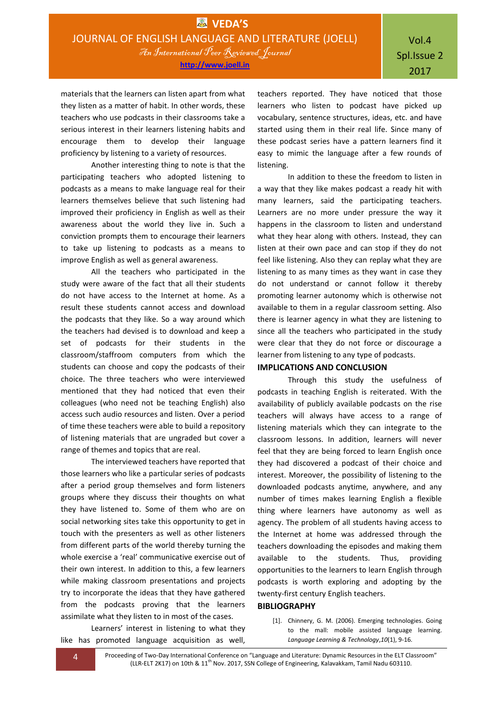materials that the learners can listen apart from what they listen as a matter of habit. In other words, these teachers who use podcasts in their classrooms take a serious interest in their learners listening habits and encourage them to develop their language proficiency by listening to a variety of resources.

Another interesting thing to note is that the participating teachers who adopted listening to podcasts as a means to make language real for their learners themselves believe that such listening had improved their proficiency in English as well as their awareness about the world they live in. Such a conviction prompts them to encourage their learners to take up listening to podcasts as a means to improve English as well as general awareness.

All the teachers who participated in the study were aware of the fact that all their students do not have access to the Internet at home. As a result these students cannot access and download the podcasts that they like. So a way around which the teachers had devised is to download and keep a set of podcasts for their students in the classroom/staffroom computers from which the students can choose and copy the podcasts of their choice. The three teachers who were interviewed mentioned that they had noticed that even their colleagues (who need not be teaching English) also access such audio resources and listen. Over a period of time these teachers were able to build a repository of listening materials that are ungraded but cover a range of themes and topics that are real.

The interviewed teachers have reported that those learners who like a particular series of podcasts after a period group themselves and form listeners groups where they discuss their thoughts on what they have listened to. Some of them who are on social networking sites take this opportunity to get in touch with the presenters as well as other listeners from different parts of the world thereby turning the whole exercise a 'real' communicative exercise out of their own interest. In addition to this, a few learners while making classroom presentations and projects try to incorporate the ideas that they have gathered from the podcasts proving that the learners assimilate what they listen to in most of the cases.

Learners' interest in listening to what they like has promoted language acquisition as well,

teachers reported. They have noticed that those learners who listen to podcast have picked up vocabulary, sentence structures, ideas, etc. and have started using them in their real life. Since many of these podcast series have a pattern learners find it easy to mimic the language after a few rounds of listening.

In addition to these the freedom to listen in a way that they like makes podcast a ready hit with many learners, said the participating teachers. Learners are no more under pressure the way it happens in the classroom to listen and understand what they hear along with others. Instead, they can listen at their own pace and can stop if they do not feel like listening. Also they can replay what they are listening to as many times as they want in case they do not understand or cannot follow it thereby promoting learner autonomy which is otherwise not available to them in a regular classroom setting. Also there is learner agency in what they are listening to since all the teachers who participated in the study were clear that they do not force or discourage a learner from listening to any type of podcasts.

### **IMPLICATIONS AND CONCLUSION**

Through this study the usefulness of podcasts in teaching English is reiterated. With the availability of publicly available podcasts on the rise teachers will always have access to a range of listening materials which they can integrate to the classroom lessons. In addition, learners will never feel that they are being forced to learn English once they had discovered a podcast of their choice and interest. Moreover, the possibility of listening to the downloaded podcasts anytime, anywhere, and any number of times makes learning English a flexible thing where learners have autonomy as well as agency. The problem of all students having access to the Internet at home was addressed through the teachers downloading the episodes and making them available to the students. Thus, providing opportunities to the learners to learn English through podcasts is worth exploring and adopting by the twenty-first century English teachers.

#### **BIBLIOGRAPHY**

[1]. Chinnery, G. M. (2006). Emerging technologies. Going to the mall: mobile assisted language learning. *Language Learning & Technology*,*10*(1), 9-16.

4 Proceeding of Two-Day International Conference on "Language and Literature: Dynamic Resources in the ELT Classroom" (LLR-ELT 2K17) on 10th & 11<sup>th</sup> Nov. 2017, SSN College of Engineering, Kalavakkam, Tamil Nadu 603110.